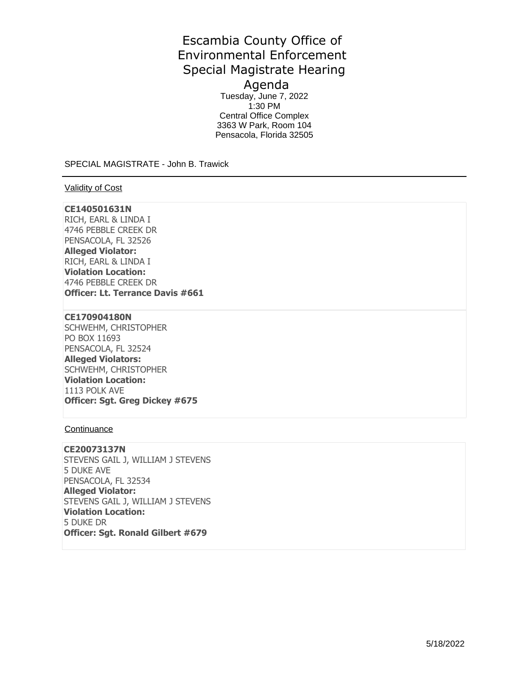# Escambia County Office of Environmental Enforcement Special Magistrate Hearing Agenda

Tuesday, June 7, 2022 1:30 PM Central Office Complex 3363 W Park, Room 104 Pensacola, Florida 32505

SPECIAL MAGISTRATE - John B. Trawick

# Validity of Cost

## **CE140501631N**

RICH, EARL & LINDA I 4746 PEBBLE CREEK DR PENSACOLA, FL 32526 **Alleged Violator:**  RICH, EARL & LINDA I **Violation Location:**  4746 PEBBLE CREEK DR **Officer: Lt. Terrance Davis #661** 

#### **CE170904180N**

SCHWEHM, CHRISTOPHER PO BOX 11693 PENSACOLA, FL 32524 **Alleged Violators:**  SCHWEHM, CHRISTOPHER **Violation Location:**  1113 POLK AVE **Officer: Sgt. Greg Dickey #675** 

## **Continuance**

**CE20073137N**  STEVENS GAIL J, WILLIAM J STEVENS 5 DUKE AVE PENSACOLA, FL 32534 **Alleged Violator:**  STEVENS GAIL J, WILLIAM J STEVENS **Violation Location:**  5 DUKE DR **Officer: Sgt. Ronald Gilbert #679**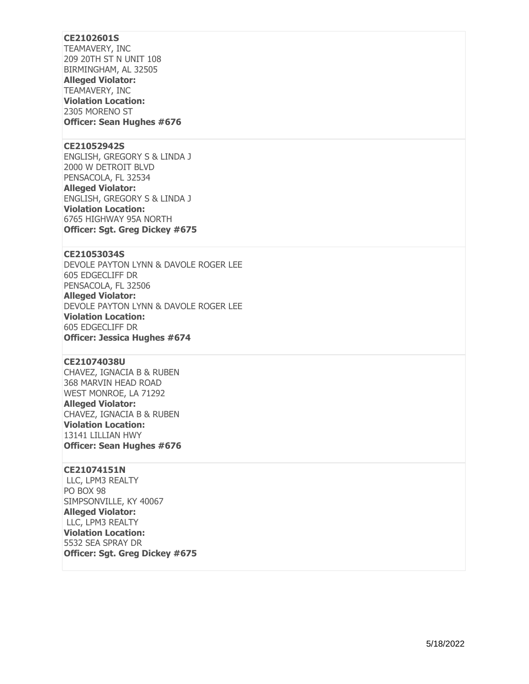# **CE2102601S**

TEAMAVERY, INC 209 20TH ST N UNIT 108 BIRMINGHAM, AL 32505

**Alleged Violator:**  TEAMAVERY, INC **Violation Location:**  2305 MORENO ST **Officer: Sean Hughes #676** 

#### **CE21052942S**

ENGLISH, GREGORY S & LINDA J 2000 W DETROIT BLVD PENSACOLA, FL 32534 **Alleged Violator:**  ENGLISH, GREGORY S & LINDA J **Violation Location:**  6765 HIGHWAY 95A NORTH **Officer: Sgt. Greg Dickey #675** 

## **CE21053034S**

DEVOLE PAYTON LYNN & DAVOLE ROGER LEE 605 EDGECLIFF DR PENSACOLA, FL 32506 **Alleged Violator:**  DEVOLE PAYTON LYNN & DAVOLE ROGER LEE **Violation Location:**  605 EDGECLIFF DR **Officer: Jessica Hughes #674** 

# **CE21074038U**

CHAVEZ, IGNACIA B & RUBEN 368 MARVIN HEAD ROAD WEST MONROE, LA 71292 **Alleged Violator:**  CHAVEZ, IGNACIA B & RUBEN **Violation Location:**  13141 LILLIAN HWY **Officer: Sean Hughes #676** 

## **CE21074151N**

 LLC, LPM3 REALTY PO BOX 98 SIMPSONVILLE, KY 40067 **Alleged Violator:** LLC, LPM3 REALTY **Violation Location:**  5532 SEA SPRAY DR **Officer: Sgt. Greg Dickey #675**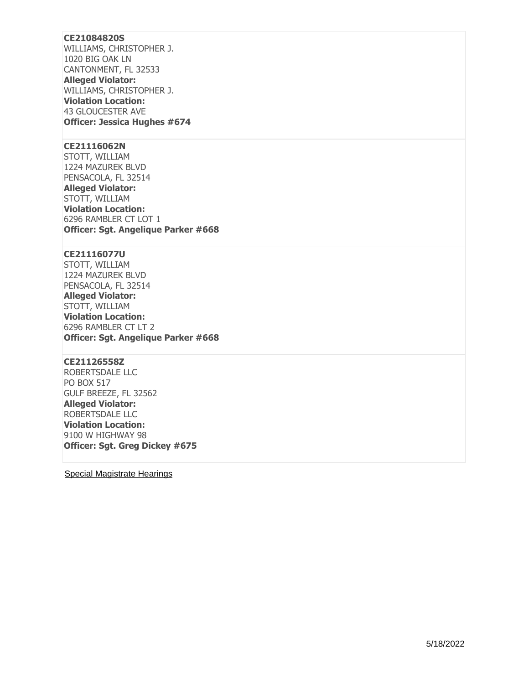## **CE21084820S**

WILLIAMS, CHRISTOPHER J. 1020 BIG OAK LN CANTONMENT, FL 32533 **Alleged Violator:**  WILLIAMS, CHRISTOPHER J. **Violation Location:**  43 GLOUCESTER AVE **Officer: Jessica Hughes #674** 

#### **CE21116062N**

STOTT, WILLIAM 1224 MAZUREK BLVD PENSACOLA, FL 32514 **Alleged Violator:**  STOTT, WILLIAM **Violation Location:**  6296 RAMBLER CT LOT 1 **Officer: Sgt. Angelique Parker #668** 

#### **CE21116077U**

STOTT, WILLIAM 1224 MAZUREK BLVD PENSACOLA, FL 32514 **Alleged Violator:**  STOTT, WILLIAM **Violation Location:**  6296 RAMBLER CT LT 2 **Officer: Sgt. Angelique Parker #668** 

## **CE21126558Z**

ROBERTSDALE LLC PO BOX 517 GULF BREEZE, FL 32562 **Alleged Violator:**  ROBERTSDALE LLC **Violation Location:**  9100 W HIGHWAY 98 **Officer: Sgt. Greg Dickey #675** 

Special Magistrate Hearings